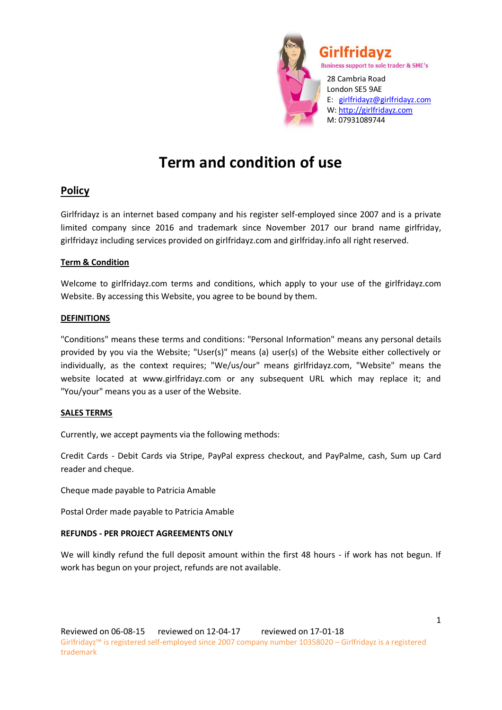

London SE5 9AE E: girlfridayz@girlfridayz.com W: http://girlfridayz.com M: 07931089744

# **Term and condition of use**

## **Policy**

Girlfridayz is an internet based company and his register self-employed since 2007 and is a private limited company since 2016 and trademark since November 2017 our brand name girlfriday, girlfridayz including services provided on girlfridayz.com and girlfriday.info all right reserved.

#### **Term & Condition**

Welcome to girlfridayz.com terms and conditions, which apply to your use of the girlfridayz.com Website. By accessing this Website, you agree to be bound by them.

#### **DEFINITIONS**

"Conditions" means these terms and conditions: "Personal Information" means any personal details provided by you via the Website; "User(s)" means (a) user(s) of the Website either collectively or individually, as the context requires; "We/us/our" means girlfridayz.com, "Website" means the website located at www.girlfridayz.com or any subsequent URL which may replace it; and "You/your" means you as a user of the Website.

### **SALES TERMS**

Currently, we accept payments via the following methods:

Credit Cards - Debit Cards via Stripe, PayPal express checkout, and PayPalme, cash, Sum up Card reader and cheque.

Cheque made payable to Patricia Amable

Postal Order made payable to Patricia Amable

### **REFUNDS - PER PROJECT AGREEMENTS ONLY**

We will kindly refund the full deposit amount within the first 48 hours - if work has not begun. If work has begun on your project, refunds are not available.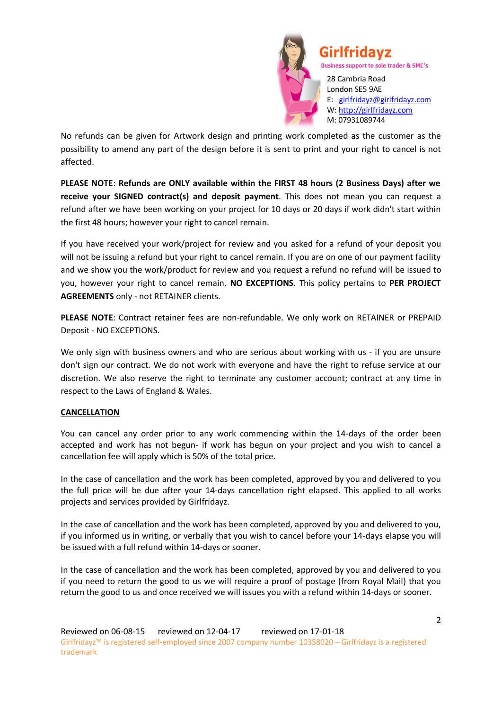

No refunds can be given for Artwork design and printing work completed as the customer as the possibility to amend any part of the design before it is sent to print and your right to cancel is not affected.

**PLEASE NOTE**: **Refunds are ONLY available within the FIRST 48 hours (2 Business Days) after we receive your SIGNED contract(s) and deposit payment**. This does not mean you can request a refund after we have been working on your project for 10 days or 20 days if work didn't start within the first 48 hours; however your right to cancel remain.

If you have received your work/project for review and you asked for a refund of your deposit you will not be issuing a refund but your right to cancel remain. If you are on one of our payment facility and we show you the work/product for review and you request a refund no refund will be issued to you, however your right to cancel remain. **NO EXCEPTIONS**. This policy pertains to **PER PROJECT AGREEMENTS** only - not RETAINER clients.

**PLEASE NOTE**: Contract retainer fees are non-refundable. We only work on RETAINER or PREPAID Deposit - NO EXCEPTIONS.

We only sign with business owners and who are serious about working with us - if you are unsure don't sign our contract. We do not work with everyone and have the right to refuse service at our discretion. We also reserve the right to terminate any customer account; contract at any time in respect to the Laws of England & Wales.

#### **CANCELLATION**

You can cancel any order prior to any work commencing within the 14-days of the order been accepted and work has not begun- if work has begun on your project and you wish to cancel a cancellation fee will apply which is 50% of the total price.

In the case of cancellation and the work has been completed, approved by you and delivered to you the full price will be due after your 14-days cancellation right elapsed. This applied to all works projects and services provided by Girlfridayz.

In the case of cancellation and the work has been completed, approved by you and delivered to you, if you informed us in writing, or verbally that you wish to cancel before your 14-days elapse you will be issued with a full refund within 14-days or sooner.

In the case of cancellation and the work has been completed, approved by you and delivered to you if you need to return the good to us we will require a proof of postage (from Royal Mail) that you return the good to us and once received we will issues you with a refund within 14-days or sooner.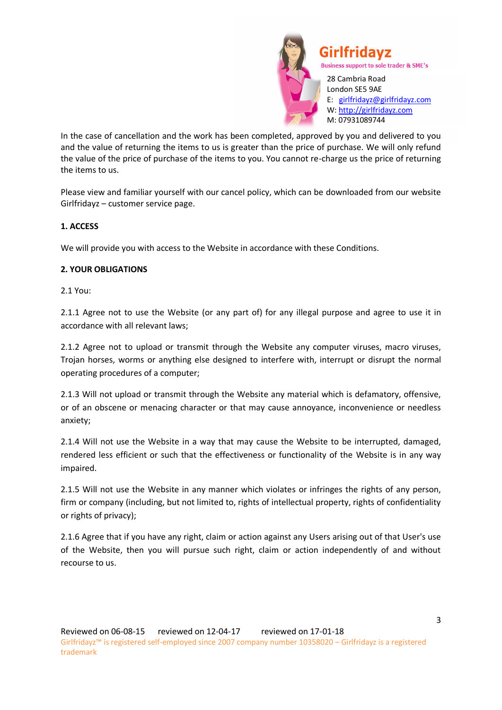

In the case of cancellation and the work has been completed, approved by you and delivered to you and the value of returning the items to us is greater than the price of purchase. We will only refund the value of the price of purchase of the items to you. You cannot re-charge us the price of returning the items to us.

Please view and familiar yourself with our cancel policy, which can be downloaded from our website Girlfridayz – customer service page.

#### **1. ACCESS**

We will provide you with access to the Website in accordance with these Conditions.

#### **2. YOUR OBLIGATIONS**

2.1 You:

2.1.1 Agree not to use the Website (or any part of) for any illegal purpose and agree to use it in accordance with all relevant laws;

2.1.2 Agree not to upload or transmit through the Website any computer viruses, macro viruses, Trojan horses, worms or anything else designed to interfere with, interrupt or disrupt the normal operating procedures of a computer;

2.1.3 Will not upload or transmit through the Website any material which is defamatory, offensive, or of an obscene or menacing character or that may cause annoyance, inconvenience or needless anxiety;

2.1.4 Will not use the Website in a way that may cause the Website to be interrupted, damaged, rendered less efficient or such that the effectiveness or functionality of the Website is in any way impaired.

2.1.5 Will not use the Website in any manner which violates or infringes the rights of any person, firm or company (including, but not limited to, rights of intellectual property, rights of confidentiality or rights of privacy);

2.1.6 Agree that if you have any right, claim or action against any Users arising out of that User's use of the Website, then you will pursue such right, claim or action independently of and without recourse to us.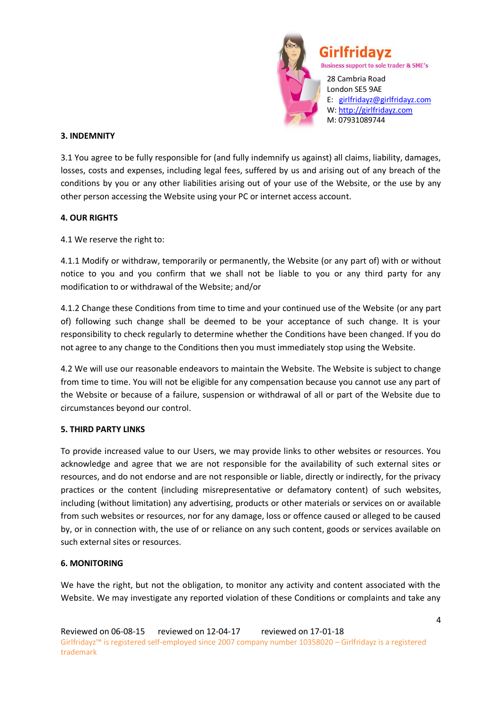

28 Cambria Road London SE5 9AE E: girlfridayz@girlfridayz.com W: http://girlfridayz.com M: 07931089744

#### **3. INDEMNITY**

3.1 You agree to be fully responsible for (and fully indemnify us against) all claims, liability, damages, losses, costs and expenses, including legal fees, suffered by us and arising out of any breach of the conditions by you or any other liabilities arising out of your use of the Website, or the use by any other person accessing the Website using your PC or internet access account.

#### **4. OUR RIGHTS**

4.1 We reserve the right to:

4.1.1 Modify or withdraw, temporarily or permanently, the Website (or any part of) with or without notice to you and you confirm that we shall not be liable to you or any third party for any modification to or withdrawal of the Website; and/or

4.1.2 Change these Conditions from time to time and your continued use of the Website (or any part of) following such change shall be deemed to be your acceptance of such change. It is your responsibility to check regularly to determine whether the Conditions have been changed. If you do not agree to any change to the Conditions then you must immediately stop using the Website.

4.2 We will use our reasonable endeavors to maintain the Website. The Website is subject to change from time to time. You will not be eligible for any compensation because you cannot use any part of the Website or because of a failure, suspension or withdrawal of all or part of the Website due to circumstances beyond our control.

#### **5. THIRD PARTY LINKS**

To provide increased value to our Users, we may provide links to other websites or resources. You acknowledge and agree that we are not responsible for the availability of such external sites or resources, and do not endorse and are not responsible or liable, directly or indirectly, for the privacy practices or the content (including misrepresentative or defamatory content) of such websites, including (without limitation) any advertising, products or other materials or services on or available from such websites or resources, nor for any damage, loss or offence caused or alleged to be caused by, or in connection with, the use of or reliance on any such content, goods or services available on such external sites or resources.

#### **6. MONITORING**

We have the right, but not the obligation, to monitor any activity and content associated with the Website. We may investigate any reported violation of these Conditions or complaints and take any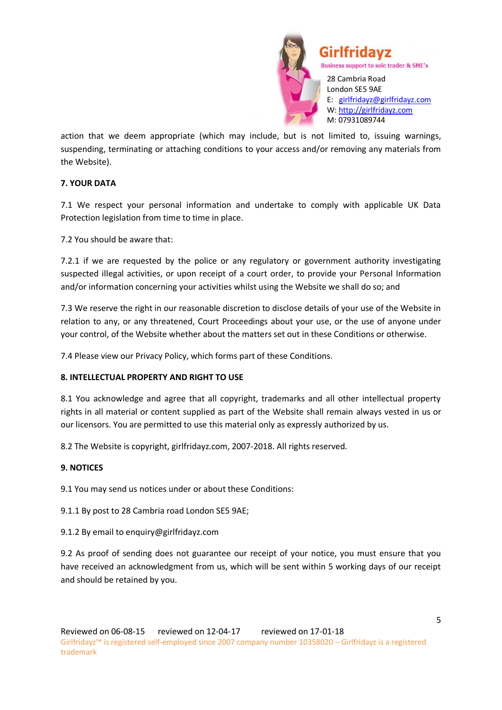

action that we deem appropriate (which may include, but is not limited to, issuing warnings, suspending, terminating or attaching conditions to your access and/or removing any materials from the Website).

#### **7. YOUR DATA**

7.1 We respect your personal information and undertake to comply with applicable UK Data Protection legislation from time to time in place.

7.2 You should be aware that:

7.2.1 if we are requested by the police or any regulatory or government authority investigating suspected illegal activities, or upon receipt of a court order, to provide your Personal Information and/or information concerning your activities whilst using the Website we shall do so; and

7.3 We reserve the right in our reasonable discretion to disclose details of your use of the Website in relation to any, or any threatened, Court Proceedings about your use, or the use of anyone under your control, of the Website whether about the matters set out in these Conditions or otherwise.

7.4 Please view our Privacy Policy, which forms part of these Conditions.

#### **8. INTELLECTUAL PROPERTY AND RIGHT TO USE**

8.1 You acknowledge and agree that all copyright, trademarks and all other intellectual property rights in all material or content supplied as part of the Website shall remain always vested in us or our licensors. You are permitted to use this material only as expressly authorized by us.

8.2 The Website is copyright, girlfridayz.com, 2007-2018. All rights reserved.

#### **9. NOTICES**

9.1 You may send us notices under or about these Conditions:

9.1.1 By post to 28 Cambria road London SE5 9AE;

#### 9.1.2 By email to enquiry@girlfridayz.com

9.2 As proof of sending does not guarantee our receipt of your notice, you must ensure that you have received an acknowledgment from us, which will be sent within 5 working days of our receipt and should be retained by you.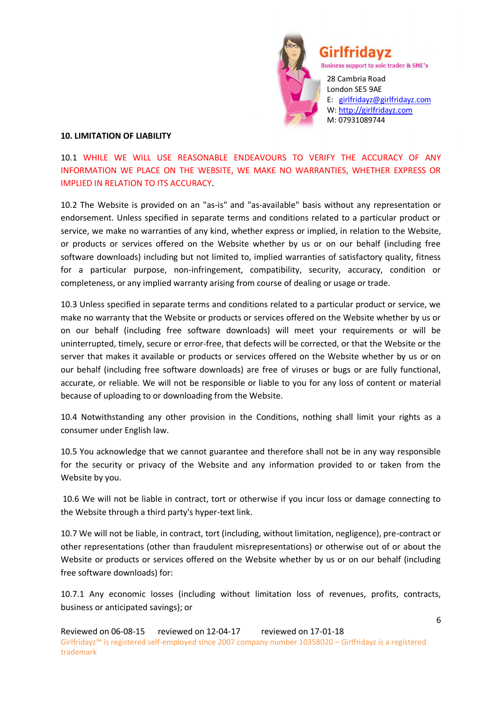

Girlfridavz

**Business support to sole trader & SME's** 28 Cambria Road

London SE5 9AE E: girlfridayz@girlfridayz.com W: http://girlfridayz.com M: 07931089744

#### **10. LIMITATION OF LIABILITY**

10.1 WHILE WE WILL USE REASONABLE ENDEAVOURS TO VERIFY THE ACCURACY OF ANY INFORMATION WE PLACE ON THE WEBSITE, WE MAKE NO WARRANTIES, WHETHER EXPRESS OR IMPLIED IN RELATION TO ITS ACCURACY.

10.2 The Website is provided on an "as-is" and "as-available" basis without any representation or endorsement. Unless specified in separate terms and conditions related to a particular product or service, we make no warranties of any kind, whether express or implied, in relation to the Website, or products or services offered on the Website whether by us or on our behalf (including free software downloads) including but not limited to, implied warranties of satisfactory quality, fitness for a particular purpose, non-infringement, compatibility, security, accuracy, condition or completeness, or any implied warranty arising from course of dealing or usage or trade.

10.3 Unless specified in separate terms and conditions related to a particular product or service, we make no warranty that the Website or products or services offered on the Website whether by us or on our behalf (including free software downloads) will meet your requirements or will be uninterrupted, timely, secure or error-free, that defects will be corrected, or that the Website or the server that makes it available or products or services offered on the Website whether by us or on our behalf (including free software downloads) are free of viruses or bugs or are fully functional, accurate, or reliable. We will not be responsible or liable to you for any loss of content or material because of uploading to or downloading from the Website.

10.4 Notwithstanding any other provision in the Conditions, nothing shall limit your rights as a consumer under English law.

10.5 You acknowledge that we cannot guarantee and therefore shall not be in any way responsible for the security or privacy of the Website and any information provided to or taken from the Website by you.

10.6 We will not be liable in contract, tort or otherwise if you incur loss or damage connecting to the Website through a third party's hyper-text link.

10.7 We will not be liable, in contract, tort (including, without limitation, negligence), pre-contract or other representations (other than fraudulent misrepresentations) or otherwise out of or about the Website or products or services offered on the Website whether by us or on our behalf (including free software downloads) for:

10.7.1 Any economic losses (including without limitation loss of revenues, profits, contracts, business or anticipated savings); or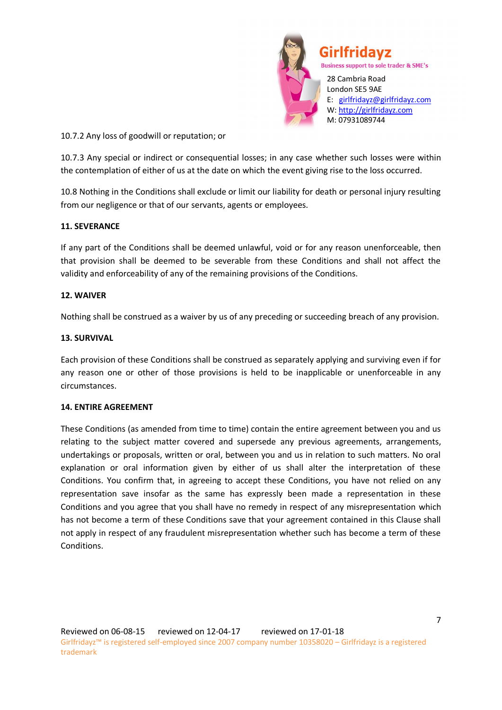

10.7.2 Any loss of goodwill or reputation; or

10.7.3 Any special or indirect or consequential losses; in any case whether such losses were within the contemplation of either of us at the date on which the event giving rise to the loss occurred.

10.8 Nothing in the Conditions shall exclude or limit our liability for death or personal injury resulting from our negligence or that of our servants, agents or employees.

#### **11. SEVERANCE**

If any part of the Conditions shall be deemed unlawful, void or for any reason unenforceable, then that provision shall be deemed to be severable from these Conditions and shall not affect the validity and enforceability of any of the remaining provisions of the Conditions.

#### **12. WAIVER**

Nothing shall be construed as a waiver by us of any preceding or succeeding breach of any provision.

#### **13. SURVIVAL**

Each provision of these Conditions shall be construed as separately applying and surviving even if for any reason one or other of those provisions is held to be inapplicable or unenforceable in any circumstances.

#### **14. ENTIRE AGREEMENT**

These Conditions (as amended from time to time) contain the entire agreement between you and us relating to the subject matter covered and supersede any previous agreements, arrangements, undertakings or proposals, written or oral, between you and us in relation to such matters. No oral explanation or oral information given by either of us shall alter the interpretation of these Conditions. You confirm that, in agreeing to accept these Conditions, you have not relied on any representation save insofar as the same has expressly been made a representation in these Conditions and you agree that you shall have no remedy in respect of any misrepresentation which has not become a term of these Conditions save that your agreement contained in this Clause shall not apply in respect of any fraudulent misrepresentation whether such has become a term of these Conditions.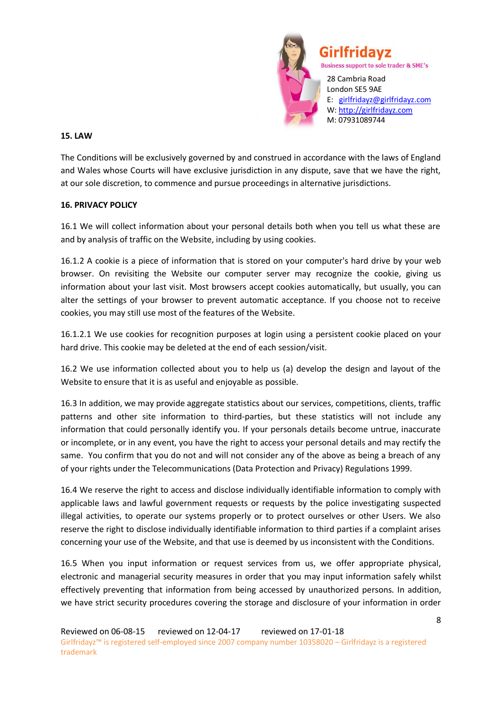

#### **15. LAW**

The Conditions will be exclusively governed by and construed in accordance with the laws of England and Wales whose Courts will have exclusive jurisdiction in any dispute, save that we have the right, at our sole discretion, to commence and pursue proceedings in alternative jurisdictions.

#### **16. PRIVACY POLICY**

16.1 We will collect information about your personal details both when you tell us what these are and by analysis of traffic on the Website, including by using cookies.

16.1.2 A cookie is a piece of information that is stored on your computer's hard drive by your web browser. On revisiting the Website our computer server may recognize the cookie, giving us information about your last visit. Most browsers accept cookies automatically, but usually, you can alter the settings of your browser to prevent automatic acceptance. If you choose not to receive cookies, you may still use most of the features of the Website.

16.1.2.1 We use cookies for recognition purposes at login using a persistent cookie placed on your hard drive. This cookie may be deleted at the end of each session/visit.

16.2 We use information collected about you to help us (a) develop the design and layout of the Website to ensure that it is as useful and enjoyable as possible.

16.3 In addition, we may provide aggregate statistics about our services, competitions, clients, traffic patterns and other site information to third-parties, but these statistics will not include any information that could personally identify you. If your personals details become untrue, inaccurate or incomplete, or in any event, you have the right to access your personal details and may rectify the same. You confirm that you do not and will not consider any of the above as being a breach of any of your rights under the Telecommunications (Data Protection and Privacy) Regulations 1999.

16.4 We reserve the right to access and disclose individually identifiable information to comply with applicable laws and lawful government requests or requests by the police investigating suspected illegal activities, to operate our systems properly or to protect ourselves or other Users. We also reserve the right to disclose individually identifiable information to third parties if a complaint arises concerning your use of the Website, and that use is deemed by us inconsistent with the Conditions.

16.5 When you input information or request services from us, we offer appropriate physical, electronic and managerial security measures in order that you may input information safely whilst effectively preventing that information from being accessed by unauthorized persons. In addition, we have strict security procedures covering the storage and disclosure of your information in order